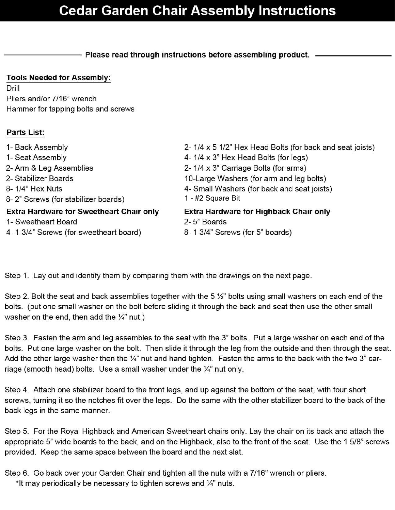# **Cedar Garden Chair Assembly Instructions**

Please read through instructions before assembling product.

#### **Tools Needed for Assembly:**

Drill

Pliers and/or 7/16" wrench Hammer for tapping bolts and screws

### Parts List:

- 1- Back Assembly
- 1- Seat Assembly
- 2- Arm & Leg Assemblies
- 2- Stabilizer Boards
- 8-1/4" Hex Nuts
- 8-2" Screws (for stabilizer boards)

#### **Extra Hardware for Sweetheart Chair only**

- 1- Sweetheart Board
- 4- 1 3/4" Screws (for sweetheart board)
- 2- 1/4 x 5 1/2" Hex Head Bolts (for back and seat joists)
- 4- 1/4 x 3" Hex Head Bolts (for legs)
- 2- 1/4 x 3" Carriage Bolts (for arms)
- 10-Large Washers (for arm and leg bolts)
- 4- Small Washers (for back and seat joists)
- 1 #2 Square Bit

#### **Extra Hardware for Highback Chair only**

- 2-5" Boards
- 8-1 3/4" Screws (for 5" boards)

Step 1. Lay out and identify them by comparing them with the drawings on the next page.

Step 2. Bolt the seat and back assemblies together with the 5 1/2" bolts using small washers on each end of the bolts. (put one small washer on the bolt before sliding it through the back and seat then use the other small washer on the end, then add the  $\frac{1}{4}$  nut.)

Step 3. Fasten the arm and leg assembles to the seat with the 3" bolts. Put a large washer on each end of the bolts. Put one large washer on the bolt. Then slide it through the leg from the outside and then through the seat. Add the other large washer then the  $\frac{1}{4}$ " nut and hand tighten. Fasten the arms to the back with the two 3" carriage (smooth head) bolts. Use a small washer under the  $\frac{1}{4}$ " nut only.

Step 4. Attach one stabilizer board to the front legs, and up against the bottom of the seat, with four short screws, turning it so the notches fit over the legs. Do the same with the other stabilizer board to the back of the back legs in the same manner.

Step 5. For the Royal Highback and American Sweetheart chairs only. Lay the chair on its back and attach the appropriate 5" wide boards to the back, and on the Highback, also to the front of the seat. Use the 15/8" screws provided. Keep the same space between the board and the next slat.

Step 6. Go back over your Garden Chair and tighten all the nuts with a 7/16" wrench or pliers. \*It may periodically be necessary to tighten screws and  $\frac{1}{4}$  nuts.